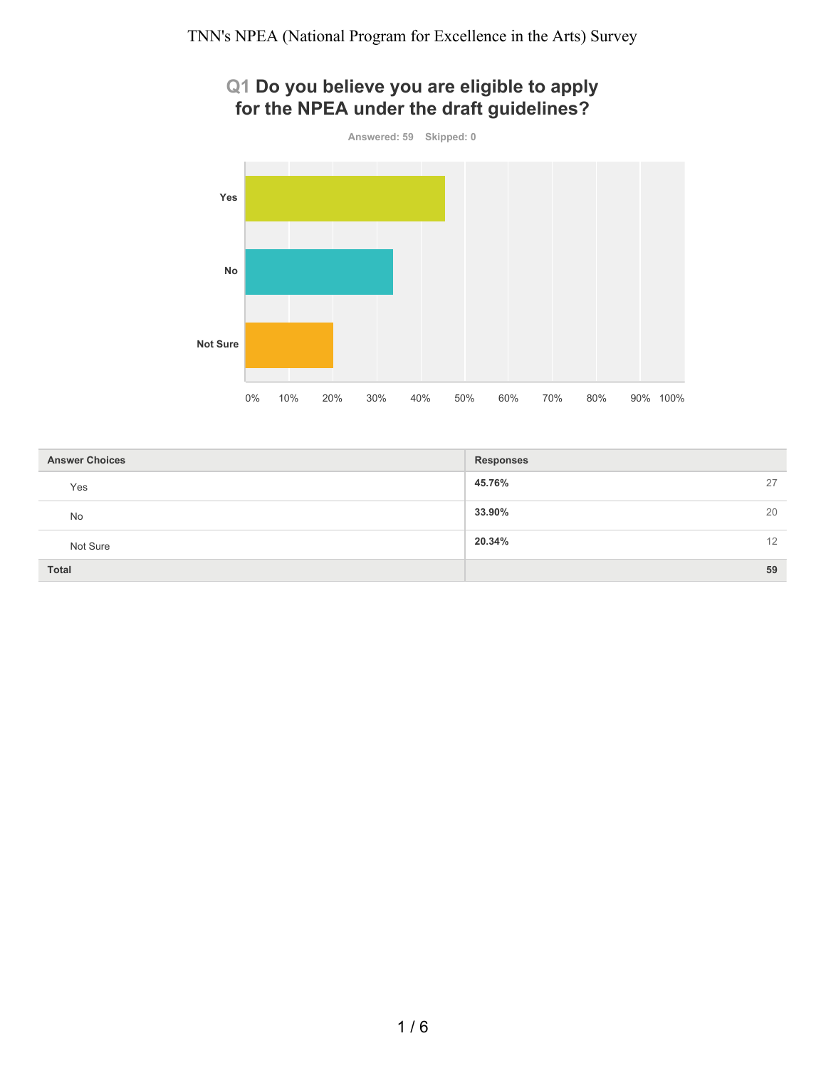# **Q1 Do you believe you are eligible to apply for the NPEA under the draft guidelines?**



| <b>Answer Choices</b> | <b>Responses</b> |
|-----------------------|------------------|
| Yes                   | 45.76%<br>27     |
| No                    | 33.90%<br>20     |
| Not Sure              | 20.34%<br>12     |
| <b>Total</b>          | 59               |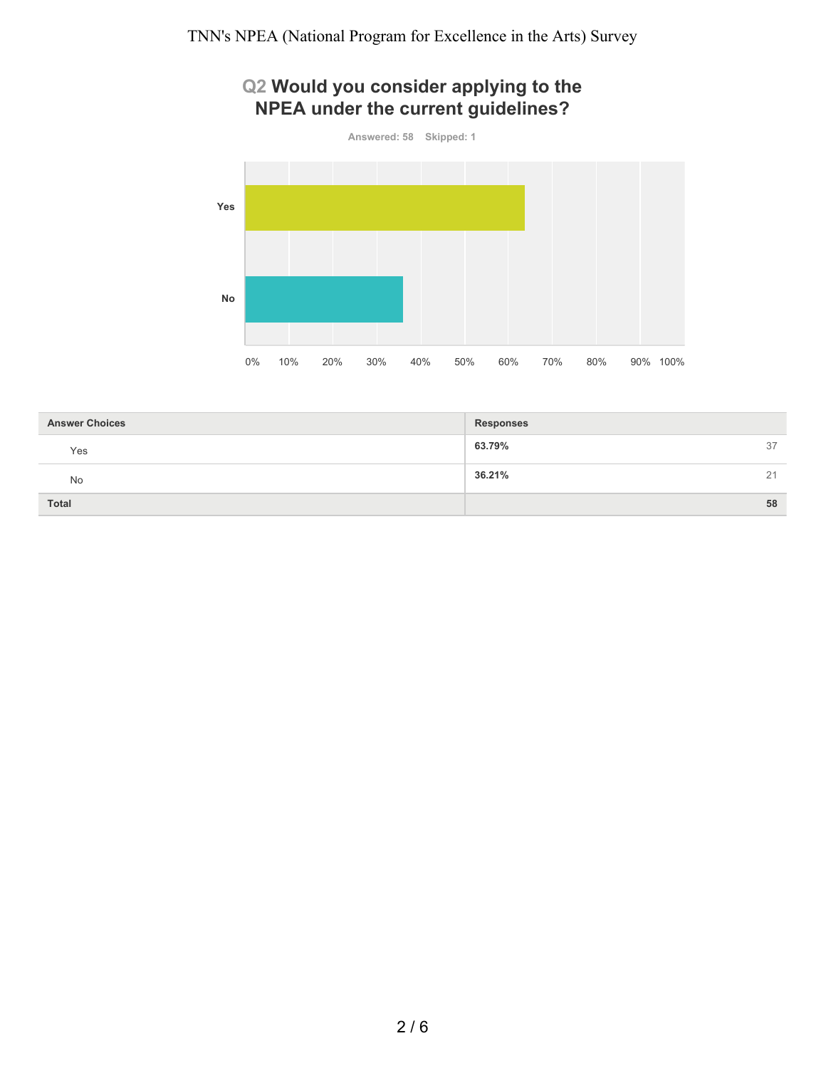# **Q2 Would you consider applying to the NPEA under the current guidelines?**



| <b>Answer Choices</b> | <b>Responses</b> |    |
|-----------------------|------------------|----|
| Yes                   | 63.79%           | 37 |
| No                    | 36.21%           | 21 |
| Total                 |                  | 58 |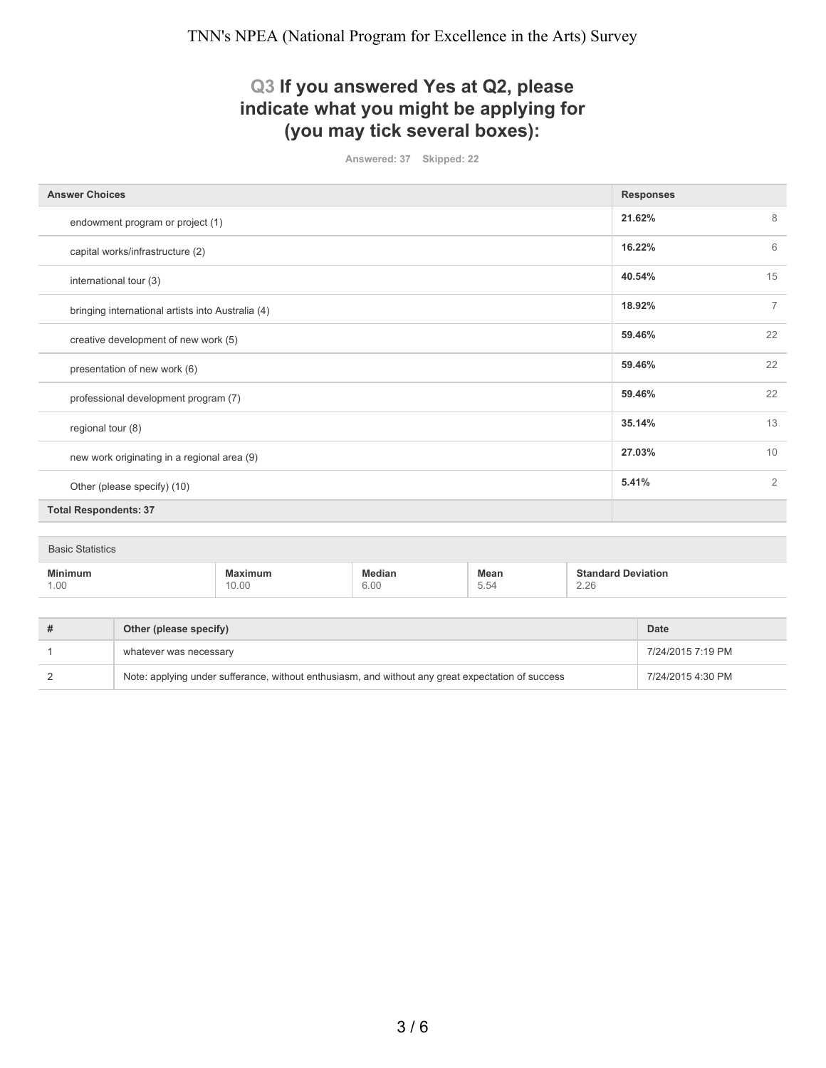## **Q3 If you answered Yes at Q2, please indicate what you might be applying for (you may tick several boxes):**

**Answered: 37 Skipped: 22**

| <b>Answer Choices</b>                             | <b>Responses</b>         |  |  |  |
|---------------------------------------------------|--------------------------|--|--|--|
|                                                   | 21.62%<br>8              |  |  |  |
| endowment program or project (1)                  |                          |  |  |  |
| capital works/infrastructure (2)                  | 6<br>16.22%              |  |  |  |
| international tour (3)                            | 15<br>40.54%             |  |  |  |
| bringing international artists into Australia (4) | 18.92%<br>$\overline{7}$ |  |  |  |
| creative development of new work (5)              | 22<br>59.46%             |  |  |  |
| presentation of new work (6)                      | 22<br>59.46%             |  |  |  |
| professional development program (7)              | 22<br>59.46%             |  |  |  |
| regional tour (8)                                 | 13<br>35.14%             |  |  |  |
| new work originating in a regional area (9)       | 10<br>27.03%             |  |  |  |
| Other (please specify) (10)                       | 2<br>5.41%               |  |  |  |
| <b>Total Respondents: 37</b>                      |                          |  |  |  |
|                                                   |                          |  |  |  |
| <b>Basic Statistics</b>                           |                          |  |  |  |
|                                                   |                          |  |  |  |

| <br>1.00 | 1 U.U | $\sim$ 0 $\prime$<br>ว.UL<br>. | Mean<br>$\overline{\phantom{a}}$<br>$\overline{a}$<br>$\sim$<br>U.U | וחו<br>$\sim$<br>2.20 |
|----------|-------|--------------------------------|---------------------------------------------------------------------|-----------------------|
|          |       |                                |                                                                     |                       |

| # | Other (please specify)                                                                            | <b>Date</b>       |
|---|---------------------------------------------------------------------------------------------------|-------------------|
|   | whatever was necessary                                                                            | 7/24/2015 7:19 PM |
|   | Note: applying under sufferance, without enthusiasm, and without any great expectation of success | 7/24/2015 4:30 PM |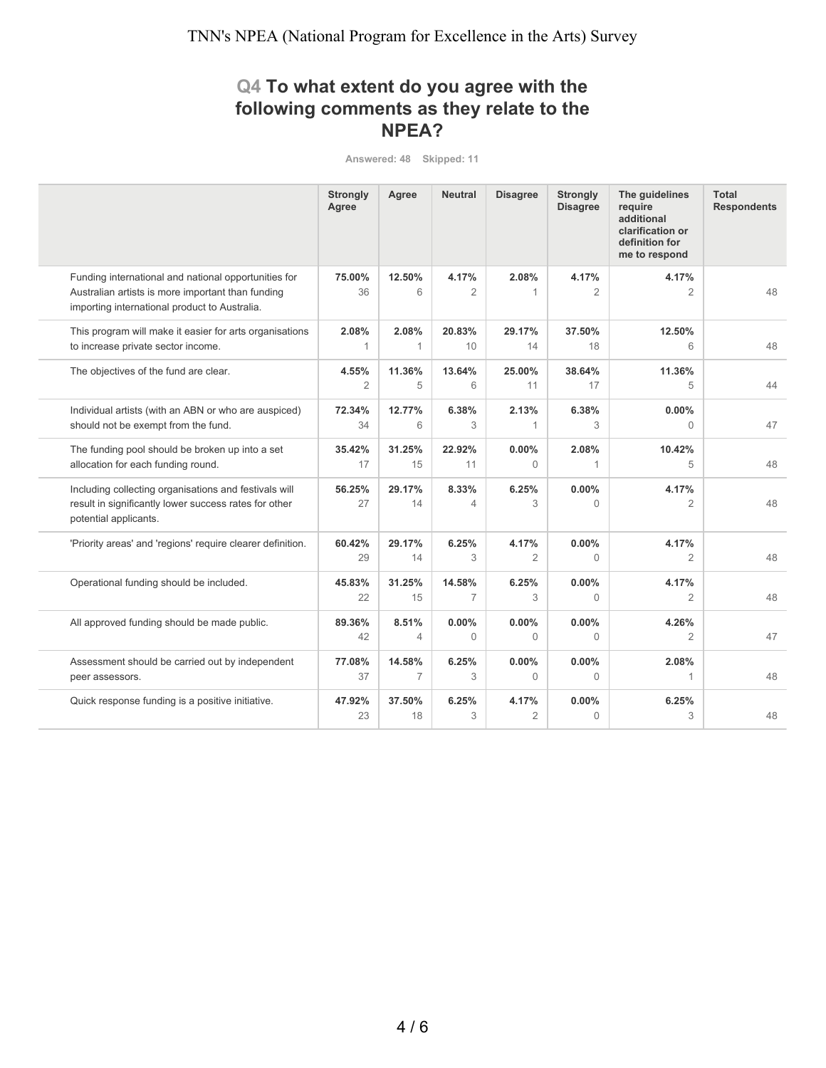## **Q4 To what extent do you agree with the following comments as they relate to the NPEA?**

**Answered: 48 Skipped: 11**

|                                                                                                                                                            | <b>Strongly</b><br>Agree | Agree                   | <b>Neutral</b>            | <b>Disagree</b>         | <b>Strongly</b><br><b>Disagree</b> | The quidelines<br>require<br>additional<br>clarification or<br>definition for<br>me to respond | <b>Total</b><br><b>Respondents</b> |
|------------------------------------------------------------------------------------------------------------------------------------------------------------|--------------------------|-------------------------|---------------------------|-------------------------|------------------------------------|------------------------------------------------------------------------------------------------|------------------------------------|
| Funding international and national opportunities for<br>Australian artists is more important than funding<br>importing international product to Australia. | 75.00%<br>36             | 12.50%<br>6             | 4.17%<br>2                | 2.08%<br>1              | 4.17%<br>2                         | 4.17%<br>2                                                                                     | 48                                 |
| This program will make it easier for arts organisations<br>to increase private sector income.                                                              | 2.08%<br>$\mathbf{1}$    | 2.08%<br>1              | 20.83%<br>10 <sup>°</sup> | 29.17%<br>14            | 37.50%<br>18                       | 12.50%<br>6                                                                                    | 48                                 |
| The objectives of the fund are clear.                                                                                                                      | 4.55%<br>$\overline{2}$  | 11.36%<br>5             | 13.64%<br>6               | 25.00%<br>11            | 38.64%<br>17                       | 11.36%<br>5                                                                                    | 44                                 |
| Individual artists (with an ABN or who are auspiced)<br>should not be exempt from the fund.                                                                | 72.34%<br>34             | 12.77%<br>6             | 6.38%<br>3                | 2.13%<br>1              | 6.38%<br>3                         | 0.00%<br>$\Omega$                                                                              | 47                                 |
| The funding pool should be broken up into a set<br>allocation for each funding round.                                                                      | 35.42%<br>17             | 31.25%<br>15            | 22.92%<br>11              | 0.00%<br>$\Omega$       | 2.08%<br>1                         | 10.42%<br>5                                                                                    | 48                                 |
| Including collecting organisations and festivals will<br>result in significantly lower success rates for other<br>potential applicants.                    | 56.25%<br>27             | 29.17%<br>14            | 8.33%<br>4                | 6.25%<br>3              | $0.00\%$<br>$\Omega$               | 4.17%<br>2                                                                                     | 48                                 |
| 'Priority areas' and 'regions' require clearer definition.                                                                                                 | 60.42%<br>29             | 29.17%<br>14            | 6.25%<br>3                | 4.17%<br>$\overline{2}$ | 0.00%<br>0                         | 4.17%<br>$\overline{2}$                                                                        | 48                                 |
| Operational funding should be included.                                                                                                                    | 45.83%<br>22             | 31.25%<br>15            | 14.58%<br>7               | 6.25%<br>3              | $0.00\%$<br>$\Omega$               | 4.17%<br>$\overline{2}$                                                                        | 48                                 |
| All approved funding should be made public.                                                                                                                | 89.36%<br>42             | 8.51%<br>$\overline{4}$ | $0.00\%$<br>$\Omega$      | 0.00%<br>$\Omega$       | $0.00\%$<br>$\Omega$               | 4.26%<br>$\overline{2}$                                                                        | 47                                 |
| Assessment should be carried out by independent<br>peer assessors.                                                                                         | 77.08%<br>37             | 14.58%<br>7             | 6.25%<br>3                | 0.00%<br>$\Omega$       | $0.00\%$<br>$\Omega$               | 2.08%<br>1                                                                                     | 48                                 |
| Quick response funding is a positive initiative.                                                                                                           | 47.92%<br>23             | 37.50%<br>18            | 6.25%<br>3                | 4.17%<br>$\overline{2}$ | $0.00\%$<br>$\overline{0}$         | 6.25%<br>3                                                                                     | 48                                 |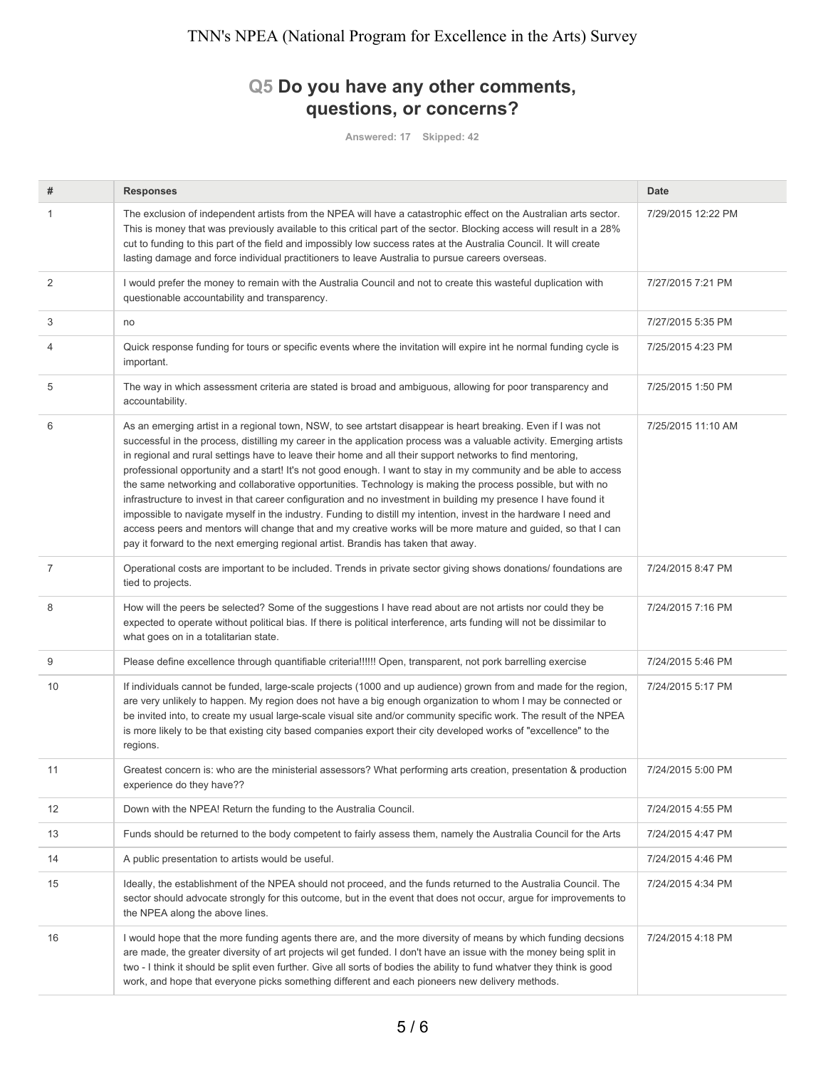# **Q5 Do you have any other comments, questions, or concerns?**

**Answered: 17 Skipped: 42**

| #              | <b>Responses</b>                                                                                                                                                                                                                                                                                                                                                                                                                                                                                                                                                                                                                                                                                                                                                                                                                                                                                                                                                                                                                    | Date               |
|----------------|-------------------------------------------------------------------------------------------------------------------------------------------------------------------------------------------------------------------------------------------------------------------------------------------------------------------------------------------------------------------------------------------------------------------------------------------------------------------------------------------------------------------------------------------------------------------------------------------------------------------------------------------------------------------------------------------------------------------------------------------------------------------------------------------------------------------------------------------------------------------------------------------------------------------------------------------------------------------------------------------------------------------------------------|--------------------|
| 1              | The exclusion of independent artists from the NPEA will have a catastrophic effect on the Australian arts sector.<br>This is money that was previously available to this critical part of the sector. Blocking access will result in a 28%<br>cut to funding to this part of the field and impossibly low success rates at the Australia Council. It will create<br>lasting damage and force individual practitioners to leave Australia to pursue careers overseas.                                                                                                                                                                                                                                                                                                                                                                                                                                                                                                                                                                | 7/29/2015 12:22 PM |
| 2              | I would prefer the money to remain with the Australia Council and not to create this wasteful duplication with<br>questionable accountability and transparency.                                                                                                                                                                                                                                                                                                                                                                                                                                                                                                                                                                                                                                                                                                                                                                                                                                                                     | 7/27/2015 7:21 PM  |
| 3              | no                                                                                                                                                                                                                                                                                                                                                                                                                                                                                                                                                                                                                                                                                                                                                                                                                                                                                                                                                                                                                                  | 7/27/2015 5:35 PM  |
| 4              | Quick response funding for tours or specific events where the invitation will expire int he normal funding cycle is<br>important.                                                                                                                                                                                                                                                                                                                                                                                                                                                                                                                                                                                                                                                                                                                                                                                                                                                                                                   | 7/25/2015 4:23 PM  |
| 5              | The way in which assessment criteria are stated is broad and ambiguous, allowing for poor transparency and<br>accountability.                                                                                                                                                                                                                                                                                                                                                                                                                                                                                                                                                                                                                                                                                                                                                                                                                                                                                                       | 7/25/2015 1:50 PM  |
| 6              | As an emerging artist in a regional town, NSW, to see artstart disappear is heart breaking. Even if I was not<br>successful in the process, distilling my career in the application process was a valuable activity. Emerging artists<br>in regional and rural settings have to leave their home and all their support networks to find mentoring,<br>professional opportunity and a start! It's not good enough. I want to stay in my community and be able to access<br>the same networking and collaborative opportunities. Technology is making the process possible, but with no<br>infrastructure to invest in that career configuration and no investment in building my presence I have found it<br>impossible to navigate myself in the industry. Funding to distill my intention, invest in the hardware I need and<br>access peers and mentors will change that and my creative works will be more mature and guided, so that I can<br>pay it forward to the next emerging regional artist. Brandis has taken that away. | 7/25/2015 11:10 AM |
| $\overline{7}$ | Operational costs are important to be included. Trends in private sector giving shows donations/ foundations are<br>tied to projects.                                                                                                                                                                                                                                                                                                                                                                                                                                                                                                                                                                                                                                                                                                                                                                                                                                                                                               | 7/24/2015 8:47 PM  |
| 8              | How will the peers be selected? Some of the suggestions I have read about are not artists nor could they be<br>expected to operate without political bias. If there is political interference, arts funding will not be dissimilar to<br>what goes on in a totalitarian state.                                                                                                                                                                                                                                                                                                                                                                                                                                                                                                                                                                                                                                                                                                                                                      | 7/24/2015 7:16 PM  |
| 9              | Please define excellence through quantifiable criteria!!!!!! Open, transparent, not pork barrelling exercise                                                                                                                                                                                                                                                                                                                                                                                                                                                                                                                                                                                                                                                                                                                                                                                                                                                                                                                        | 7/24/2015 5:46 PM  |
| 10             | If individuals cannot be funded, large-scale projects (1000 and up audience) grown from and made for the region,<br>are very unlikely to happen. My region does not have a big enough organization to whom I may be connected or<br>be invited into, to create my usual large-scale visual site and/or community specific work. The result of the NPEA<br>is more likely to be that existing city based companies export their city developed works of "excellence" to the<br>regions.                                                                                                                                                                                                                                                                                                                                                                                                                                                                                                                                              | 7/24/2015 5:17 PM  |
| 11             | Greatest concern is: who are the ministerial assessors? What performing arts creation, presentation & production<br>experience do they have??                                                                                                                                                                                                                                                                                                                                                                                                                                                                                                                                                                                                                                                                                                                                                                                                                                                                                       | 7/24/2015 5:00 PM  |
| 12             | Down with the NPEA! Return the funding to the Australia Council.                                                                                                                                                                                                                                                                                                                                                                                                                                                                                                                                                                                                                                                                                                                                                                                                                                                                                                                                                                    | 7/24/2015 4:55 PM  |
| 13             | Funds should be returned to the body competent to fairly assess them, namely the Australia Council for the Arts                                                                                                                                                                                                                                                                                                                                                                                                                                                                                                                                                                                                                                                                                                                                                                                                                                                                                                                     | 7/24/2015 4:47 PM  |
| 14             | A public presentation to artists would be useful.                                                                                                                                                                                                                                                                                                                                                                                                                                                                                                                                                                                                                                                                                                                                                                                                                                                                                                                                                                                   | 7/24/2015 4:46 PM  |
| 15             | Ideally, the establishment of the NPEA should not proceed, and the funds returned to the Australia Council. The<br>sector should advocate strongly for this outcome, but in the event that does not occur, argue for improvements to<br>the NPEA along the above lines.                                                                                                                                                                                                                                                                                                                                                                                                                                                                                                                                                                                                                                                                                                                                                             | 7/24/2015 4:34 PM  |
| 16             | I would hope that the more funding agents there are, and the more diversity of means by which funding decsions<br>are made, the greater diversity of art projects wil get funded. I don't have an issue with the money being split in<br>two - I think it should be split even further. Give all sorts of bodies the ability to fund whatver they think is good<br>work, and hope that everyone picks something different and each pioneers new delivery methods.                                                                                                                                                                                                                                                                                                                                                                                                                                                                                                                                                                   | 7/24/2015 4:18 PM  |